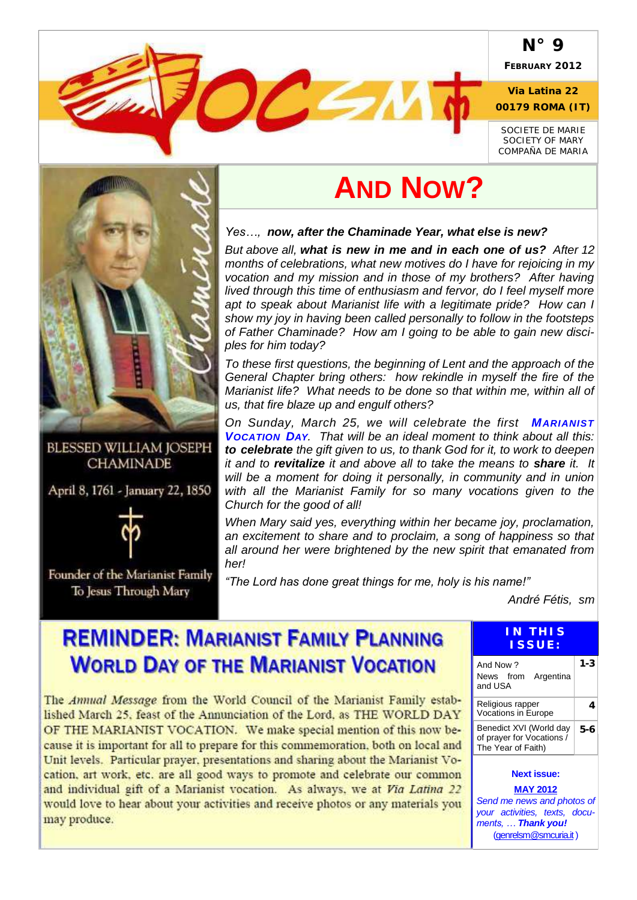#### **N° 9**

**FEBRUARY 2012**

**Via Latina 22 00179 ROMA (IT)**

*SOCIETE DE MARIE SOCIETY OF MARY COMPAÑA DE MARIA*



**BLESSED WILLIAM JOSEPH CHAMINADE** 

April 8, 1761 - January 22, 1850



Founder of the Marianist Family To Jesus Through Mary

# **AND NOW?**

*Yes…, now, after the Chaminade Year, what else is new?*

**Carl Company** 

*But above all, what is new in me and in each one of us? After 12 months of celebrations, what new motives do I have for rejoicing in my vocation and my mission and in those of my brothers? After having lived through this time of enthusiasm and fervor, do I feel myself more apt to speak about Marianist life with a legitimate pride? How can I show my joy in having been called personally to follow in the footsteps of Father Chaminade? How am I going to be able to gain new disciples for him today?*

*To these first questions, the beginning of Lent and the approach of the General Chapter bring others: how rekindle in myself the fire of the Marianist life? What needs to be done so that within me, within all of us, that fire blaze up and engulf others?*

*On Sunday, March 25, we will celebrate the first MARIANIST VOCATION DAY. That will be an ideal moment to think about all this: to celebrate the gift given to us, to thank God for it, to work to deepen it and to revitalize it and above all to take the means to share it. It will be a moment for doing it personally, in community and in union with all the Marianist Family for so many vocations given to the Church for the good of all!*

*When Mary said yes, everything within her became joy, proclamation, an excitement to share and to proclaim, a song of happiness so that all around her were brightened by the new spirit that emanated from her!* 

*"The Lord has done great things for me, holy is his name!"*

*André Fétis, sm*

## **REMINDER: MARIANIST FAMILY PLANNING WORLD DAY OF THE MARIANIST VOCATION**

The Annual Message from the World Council of the Marianist Family established March 25, feast of the Annunciation of the Lord, as THE WORLD DAY OF THE MARIANIST VOCATION. We make special mention of this now because it is important for all to prepare for this commemoration, both on local and Unit levels. Particular prayer, presentations and sharing about the Marianist Vocation, art work, etc. are all good ways to promote and celebrate our common and individual gift of a Marianist vocation. As always, we at Via Latina 22 would love to hear about your activities and receive photos or any materials you may produce.

#### **IN TH I S I S S U E :**

| And Now ?<br>News from Argentina<br>and USA                                |     |
|----------------------------------------------------------------------------|-----|
| Religious rapper<br>Vocations in Europe                                    |     |
| Benedict XVI (World day<br>of prayer for Vocations /<br>The Year of Faith) | 5-6 |
| <b>Next issue:</b>                                                         |     |

**MAY 2012** *Send me news and photos of your activities, texts, documents, … Thank you!* [\(genrelsm@smcuria.it\)](mailto:genrelsm@smcuria.it)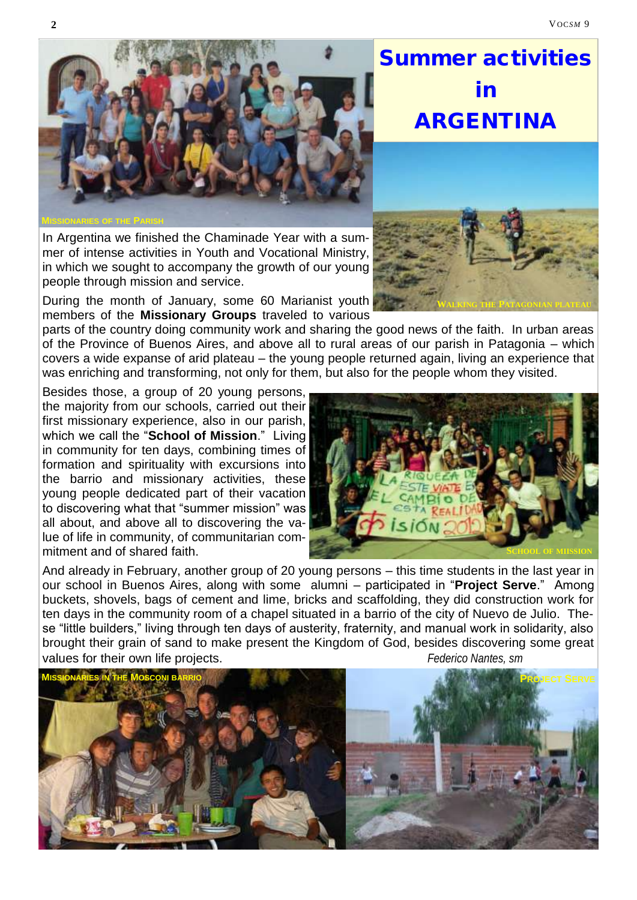# Summer activities in ARGENTINA

**WALKING THE PATAGONIAN PLATEAU**

In Argentina we finished the Chaminade Year with a summer of intense activities in Youth and Vocational Ministry, in which we sought to accompany the growth of our young people through mission and service.

During the month of January, some 60 Marianist youth members of the **Missionary Groups** traveled to various

parts of the country doing community work and sharing the good news of the faith. In urban areas of the Province of Buenos Aires, and above all to rural areas of our parish in Patagonia – which covers a wide expanse of arid plateau – the young people returned again, living an experience that was enriching and transforming, not only for them, but also for the people whom they visited.

Besides those, a group of 20 young persons, the majority from our schools, carried out their first missionary experience, also in our parish, which we call the "**School of Mission**." Living in community for ten days, combining times of formation and spirituality with excursions into the barrio and missionary activities, these young people dedicated part of their vacation to discovering what that "summer mission" was all about, and above all to discovering the value of life in community, of communitarian commitment and of shared faith.

And already in February, another group of 20 young persons – this time students in the last year in our school in Buenos Aires, along with some alumni – participated in "**Project Serve**." Among buckets, shovels, bags of cement and lime, bricks and scaffolding, they did construction work for ten days in the community room of a chapel situated in a barrio of the city of Nuevo de Julio. These "little builders," living through ten days of austerity, fraternity, and manual work in solidarity, also brought their grain of sand to make present the Kingdom of God, besides discovering some great values for their own life projects. *Federico Nantes, sm*





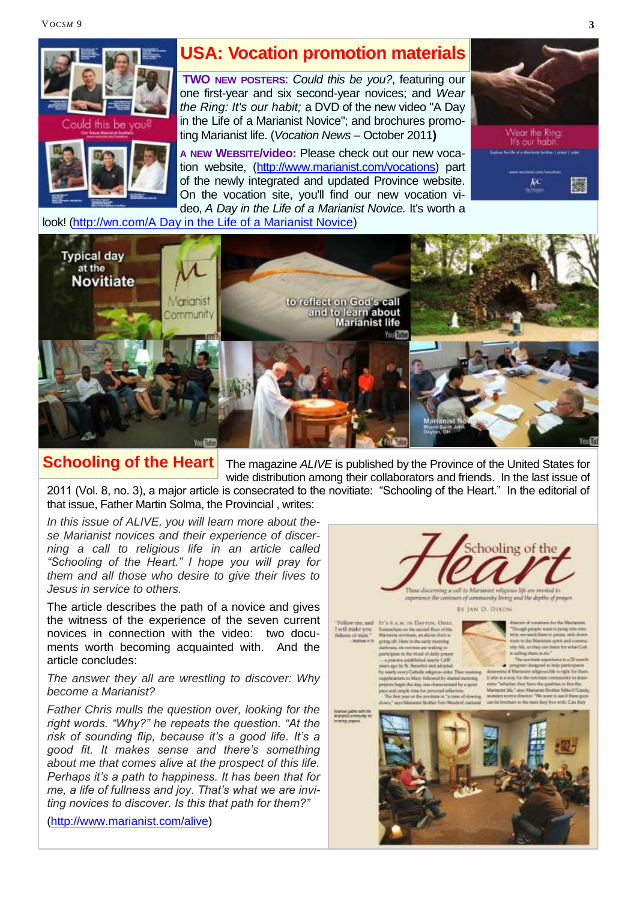VOC*SM* 9 **3**



#### **USA: Vocation promotion materials**

**TWO NEW POSTERS**: *Could this be you?*, featuring our one first-year and six second-year novices; and *Wear the Ring: It's our habit;* a DVD of the new video "A Day in the Life of a Marianist Novice"; and brochures promoting Marianist life. (*Vocation News* – October 2011**)**

**A NEW WEBSITE/video:** Please check out our new vocation website, [\(http://www.marianist.com/vocations\)](http://www.marianist.com/vocations) part of the newly integrated and updated Province website. On the vocation site, you'll find our new vocation video, *A Day in the Life of a Marianist Novice.* It's worth a



look! [\(http://wn.com/A Day in the Life of a Marianist Novice\)](http://wn.com/A_Day_in_the_Life_of_a_Marianist_Novice)



**Schooling of the Heart**

The magazine *ALIVE* is published by the Province of the United States for wide distribution among their collaborators and friends. In the last issue of

2011 (Vol. 8, no. 3), a major article is consecrated to the novitiate: "Schooling of the Heart." In the editorial of that issue, Father Martin Solma, the Provincial , writes:

*In this issue of ALIVE, you will learn more about these Marianist novices and their experience of discerning a call to religious life in an article called "Schooling of the Heart." I hope you will pray for them and all those who desire to give their lives to Jesus in service to others.*

The article describes the path of a novice and gives the witness of the experience of the seven current novices in connection with the video: two documents worth becoming acquainted with. And the article concludes:

*The answer they all are wrestling to discover: Why become a Marianist?*

*Father Chris mulls the question over, looking for the right words. "Why?" he repeats the question. "At the risk of sounding flip, because it's a good life. It's a good fit. It makes sense and there's something about me that comes alive at the prospect of this life. Perhaps it's a path to happiness. It has been that for me, a life of fullness and joy. That's what we are inviting novices to discover. Is this that path for them?"* 

([http://www.marianist.com/alive\)](http://www.marianist.com/alive)



exter writy living and the depths of prayer

BY JAN D. DIXON

will make yo<br>dues of man

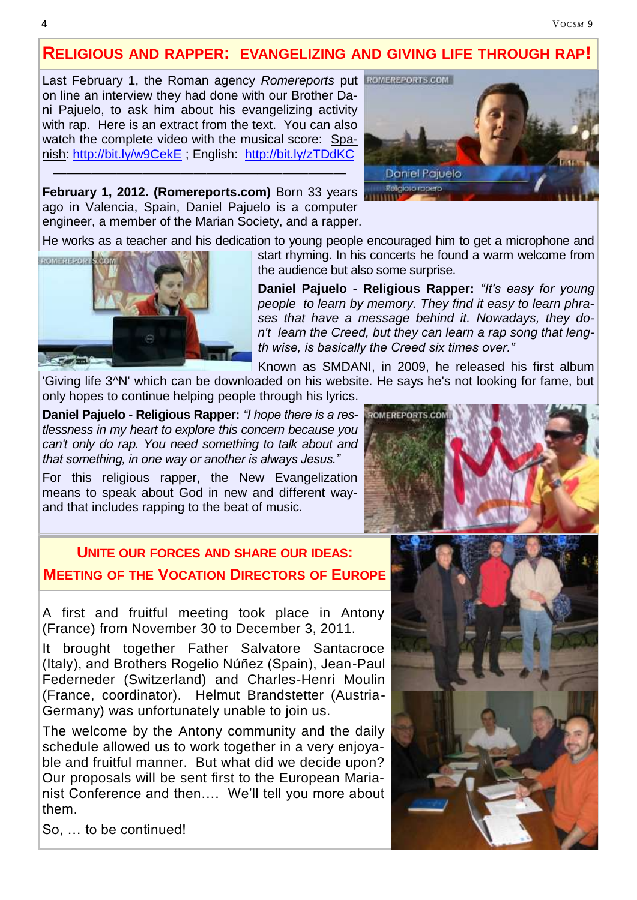#### **RELIGIOUS AND RAPPER: EVANGELIZING AND GIVING LIFE THROUGH RAP!**

Last February 1, the Roman agency *Romereports* put on line an interview they had done with our Brother Dani Pajuelo, to ask him about his evangelizing activity with rap. Here is an extract from the text. You can also watch the complete video with the musical score: Spanish:<http://bit.ly/w9CekE> ; English: <http://bit.ly/zTDdKC>



**February 1, 2012. (Romereports.com)** Born 33 years ago in Valencia, Spain, Daniel Pajuelo is a computer engineer, a member of the Marian Society, and a rapper.

———————————————————————

He works as a teacher and his dedication to young people encouraged him to get a microphone and



start rhyming. In his concerts he found a warm welcome from the audience but also some surprise.

**Daniel Pajuelo - Religious Rapper:** *"It's easy for young people to learn by memory. They find it easy to learn phrases that have a message behind it. Nowadays, they don't learn the Creed, but they can learn a rap song that length wise, is basically the Creed six times over."*

Known as SMDANI, in 2009, he released his first album

'Giving life 3^N' which can be downloaded on his website. He says he's not looking for fame, but only hopes to continue helping people through his lyrics.

**Daniel Pajuelo - Religious Rapper:** *"I hope there is a restlessness in my heart to explore this concern because you can't only do rap. You need something to talk about and that something, in one way or another is always Jesus."*

For this religious rapper, the New Evangelization means to speak about God in new and different wayand that includes rapping to the beat of music.

#### **UNITE OUR FORCES AND SHARE OUR IDEAS: MEETING OF THE VOCATION DIRECTORS OF EUROPE**

A first and fruitful meeting took place in Antony (France) from November 30 to December 3, 2011.

It brought together Father Salvatore Santacroce (Italy), and Brothers Rogelio Núñez (Spain), Jean-Paul Federneder (Switzerland) and Charles-Henri Moulin (France, coordinator). Helmut Brandstetter (Austria-Germany) was unfortunately unable to join us.

The welcome by the Antony community and the daily schedule allowed us to work together in a very enjoyable and fruitful manner. But what did we decide upon? Our proposals will be sent first to the European Marianist Conference and then…. We'll tell you more about them.

So, … to be continued!



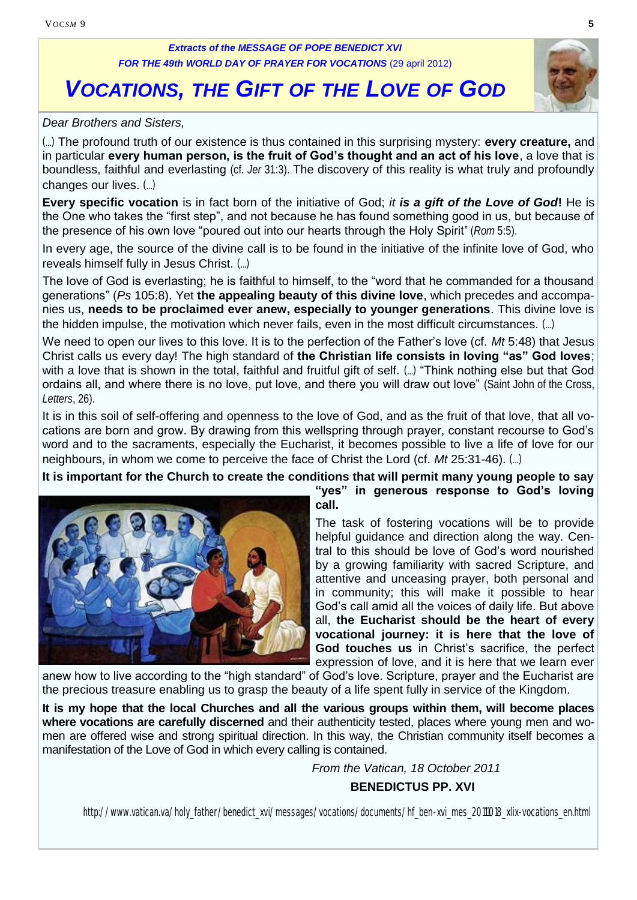#### *Extracts of the MESSAGE OF POPE BENEDICT XVI* **FOR THE 49th WORLD DAY OF PRAYER FOR VOCATIONS (29 april 2012)**

## *VOCATIONS, THE GIFT OF THE LOVE OF GOD*

#### *Dear Brothers and Sisters,*

(…) The profound truth of our existence is thus contained in this surprising mystery: **every creature,** and in particular **every human person, is the fruit of God's thought and an act of his love**, a love that is boundless, faithful and everlasting (cf. *Jer* 31:3). The discovery of this reality is what truly and profoundly changes our lives. (…)

**Every specific vocation** is in fact born of the initiative of God; *it is a gift of the Love of God***!** He is the One who takes the "first step", and not because he has found something good in us, but because of the presence of his own love "poured out into our hearts through the Holy Spirit" (*Rom* 5:5).

In every age, the source of the divine call is to be found in the initiative of the infinite love of God, who reveals himself fully in Jesus Christ. (…)

The love of God is everlasting; he is faithful to himself, to the "word that he commanded for a thousand generations" (*Ps* 105:8). Yet **the appealing beauty of this divine love**, which precedes and accompanies us, **needs to be proclaimed ever anew, especially to younger generations**. This divine love is the hidden impulse, the motivation which never fails, even in the most difficult circumstances. (…)

We need to open our lives to this love. It is to the perfection of the Father's love (cf. *Mt* 5:48) that Jesus Christ calls us every day! The high standard of **the Christian life consists in loving "as" God loves**; with a love that is shown in the total, faithful and fruitful gift of self. (...) "Think nothing else but that God ordains all, and where there is no love, put love, and there you will draw out love" (Saint John of the Cross, *Letters*, 26).

It is in this soil of self-offering and openness to the love of God, and as the fruit of that love, that all vocations are born and grow. By drawing from this wellspring through prayer, constant recourse to God's word and to the sacraments, especially the Eucharist, it becomes possible to live a life of love for our neighbours, in whom we come to perceive the face of Christ the Lord (cf. *Mt* 25:31-46). (…)

**It is important for the Church to create the conditions that will permit many young people to say** 



**"yes" in generous response to God's loving call.**

The task of fostering vocations will be to provide helpful guidance and direction along the way. Central to this should be love of God's word nourished by a growing familiarity with sacred Scripture, and attentive and unceasing prayer, both personal and in community; this will make it possible to hear God's call amid all the voices of daily life. But above all, **the Eucharist should be the heart of every vocational journey: it is here that the love of God touches us** in Christ's sacrifice, the perfect expression of love, and it is here that we learn ever

anew how to live according to the "high standard" of God's love. Scripture, prayer and the Eucharist are the precious treasure enabling us to grasp the beauty of a life spent fully in service of the Kingdom.

**It is my hope that the local Churches and all the various groups within them, will become places where vocations are carefully discerned** and their authenticity tested, places where young men and women are offered wise and strong spiritual direction. In this way, the Christian community itself becomes a manifestation of the Love of God in which every calling is contained.

*From the Vatican, 18 October 2011*

**BENEDICTUS PP. XVI**

http://www.vatican.va/holy\_father/benedict\_xvi/messages/vocations/documents/hf\_ben-xvi\_mes\_20111018\_xlix-vocations\_en.html